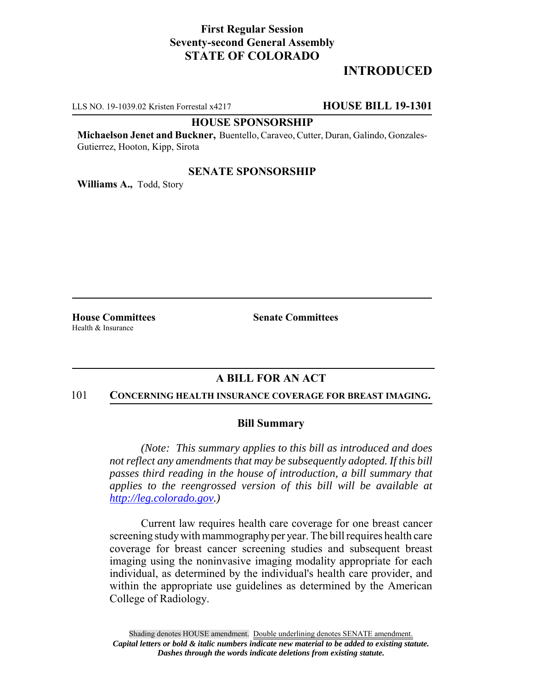## **First Regular Session Seventy-second General Assembly STATE OF COLORADO**

# **INTRODUCED**

LLS NO. 19-1039.02 Kristen Forrestal x4217 **HOUSE BILL 19-1301**

#### **HOUSE SPONSORSHIP**

**Michaelson Jenet and Buckner,** Buentello, Caraveo, Cutter, Duran, Galindo, Gonzales-Gutierrez, Hooton, Kipp, Sirota

### **SENATE SPONSORSHIP**

**Williams A.,** Todd, Story

Health & Insurance

**House Committees Senate Committees** 

## **A BILL FOR AN ACT**

#### 101 **CONCERNING HEALTH INSURANCE COVERAGE FOR BREAST IMAGING.**

### **Bill Summary**

*(Note: This summary applies to this bill as introduced and does not reflect any amendments that may be subsequently adopted. If this bill passes third reading in the house of introduction, a bill summary that applies to the reengrossed version of this bill will be available at http://leg.colorado.gov.)*

Current law requires health care coverage for one breast cancer screening study with mammography per year. The bill requires health care coverage for breast cancer screening studies and subsequent breast imaging using the noninvasive imaging modality appropriate for each individual, as determined by the individual's health care provider, and within the appropriate use guidelines as determined by the American College of Radiology.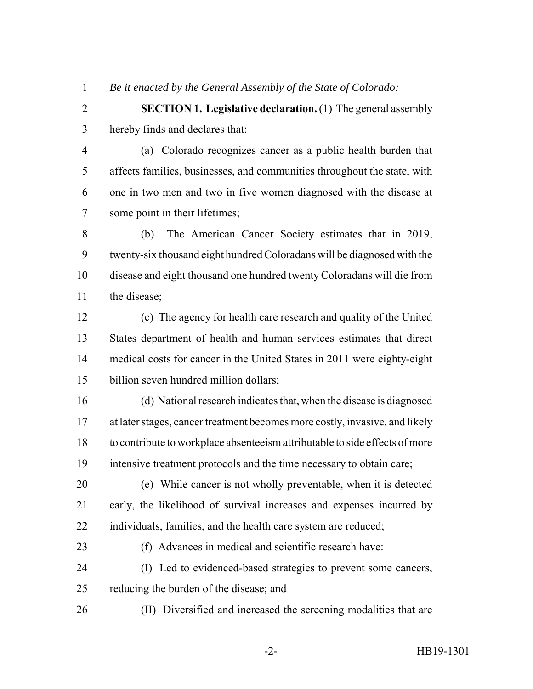*Be it enacted by the General Assembly of the State of Colorado:*

 **SECTION 1. Legislative declaration.** (1) The general assembly hereby finds and declares that:

 (a) Colorado recognizes cancer as a public health burden that affects families, businesses, and communities throughout the state, with one in two men and two in five women diagnosed with the disease at some point in their lifetimes;

 (b) The American Cancer Society estimates that in 2019, twenty-six thousand eight hundred Coloradans will be diagnosed with the disease and eight thousand one hundred twenty Coloradans will die from the disease;

 (c) The agency for health care research and quality of the United States department of health and human services estimates that direct medical costs for cancer in the United States in 2011 were eighty-eight billion seven hundred million dollars;

 (d) National research indicates that, when the disease is diagnosed at later stages, cancer treatment becomes more costly, invasive, and likely to contribute to workplace absenteeism attributable to side effects of more intensive treatment protocols and the time necessary to obtain care;

 (e) While cancer is not wholly preventable, when it is detected early, the likelihood of survival increases and expenses incurred by individuals, families, and the health care system are reduced;

(f) Advances in medical and scientific research have:

 (I) Led to evidenced-based strategies to prevent some cancers, reducing the burden of the disease; and

(II) Diversified and increased the screening modalities that are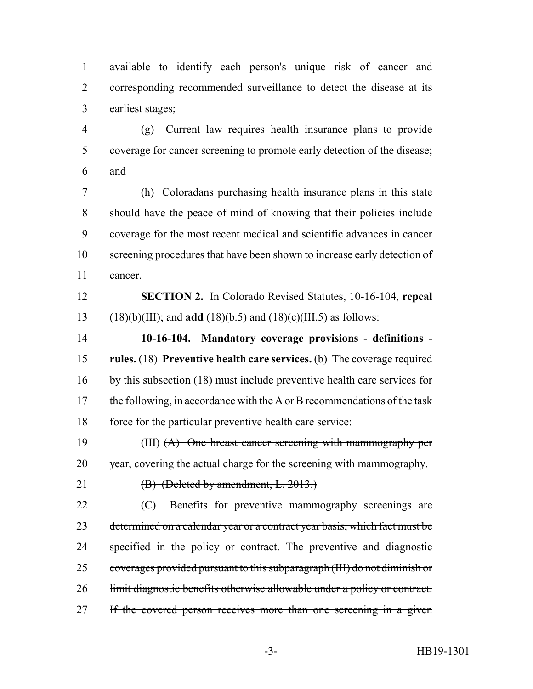available to identify each person's unique risk of cancer and corresponding recommended surveillance to detect the disease at its earliest stages;

 (g) Current law requires health insurance plans to provide coverage for cancer screening to promote early detection of the disease; and

 (h) Coloradans purchasing health insurance plans in this state should have the peace of mind of knowing that their policies include coverage for the most recent medical and scientific advances in cancer screening procedures that have been shown to increase early detection of cancer.

 **SECTION 2.** In Colorado Revised Statutes, 10-16-104, **repeal** (18)(b)(III); and **add** (18)(b.5) and (18)(c)(III.5) as follows:

 **10-16-104. Mandatory coverage provisions - definitions - rules.** (18) **Preventive health care services.** (b) The coverage required by this subsection (18) must include preventive health care services for 17 the following, in accordance with the A or B recommendations of the task force for the particular preventive health care service:

 (III) (A) One breast cancer screening with mammography per year, covering the actual charge for the screening with mammography.

**(B)** (Deleted by amendment, L. 2013.)

22 (C) Benefits for preventive mammography screenings are 23 determined on a calendar year or a contract year basis, which fact must be 24 specified in the policy or contract. The preventive and diagnostic coverages provided pursuant to this subparagraph (III) do not diminish or 26 limit diagnostic benefits otherwise allowable under a policy or contract. 27 If the covered person receives more than one screening in a given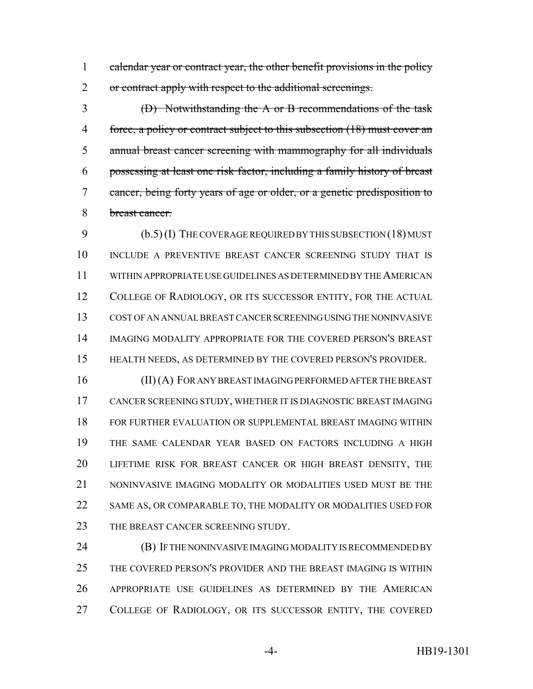1 calendar year or contract year, the other benefit provisions in the policy 2 or contract apply with respect to the additional screenings.

 (D) Notwithstanding the A or B recommendations of the task force, a policy or contract subject to this subsection (18) must cover an annual breast cancer screening with mammography for all individuals possessing at least one risk factor, including a family history of breast cancer, being forty years of age or older, or a genetic predisposition to breast cancer.

 (b.5) (I) THE COVERAGE REQUIRED BY THIS SUBSECTION (18) MUST 10 INCLUDE A PREVENTIVE BREAST CANCER SCREENING STUDY THAT IS WITHIN APPROPRIATE USE GUIDELINES AS DETERMINED BY THE AMERICAN 12 COLLEGE OF RADIOLOGY, OR ITS SUCCESSOR ENTITY, FOR THE ACTUAL COST OF AN ANNUAL BREAST CANCER SCREENING USING THE NONINVASIVE IMAGING MODALITY APPROPRIATE FOR THE COVERED PERSON'S BREAST HEALTH NEEDS, AS DETERMINED BY THE COVERED PERSON'S PROVIDER.

 (II) (A) FOR ANY BREAST IMAGING PERFORMED AFTER THE BREAST CANCER SCREENING STUDY, WHETHER IT IS DIAGNOSTIC BREAST IMAGING FOR FURTHER EVALUATION OR SUPPLEMENTAL BREAST IMAGING WITHIN THE SAME CALENDAR YEAR BASED ON FACTORS INCLUDING A HIGH LIFETIME RISK FOR BREAST CANCER OR HIGH BREAST DENSITY, THE 21 NONINVASIVE IMAGING MODALITY OR MODALITIES USED MUST BE THE SAME AS, OR COMPARABLE TO, THE MODALITY OR MODALITIES USED FOR 23 THE BREAST CANCER SCREENING STUDY.

**(B) IF THE NONINVASIVE IMAGING MODALITY IS RECOMMENDED BY**  THE COVERED PERSON'S PROVIDER AND THE BREAST IMAGING IS WITHIN APPROPRIATE USE GUIDELINES AS DETERMINED BY THE AMERICAN 27 COLLEGE OF RADIOLOGY, OR ITS SUCCESSOR ENTITY, THE COVERED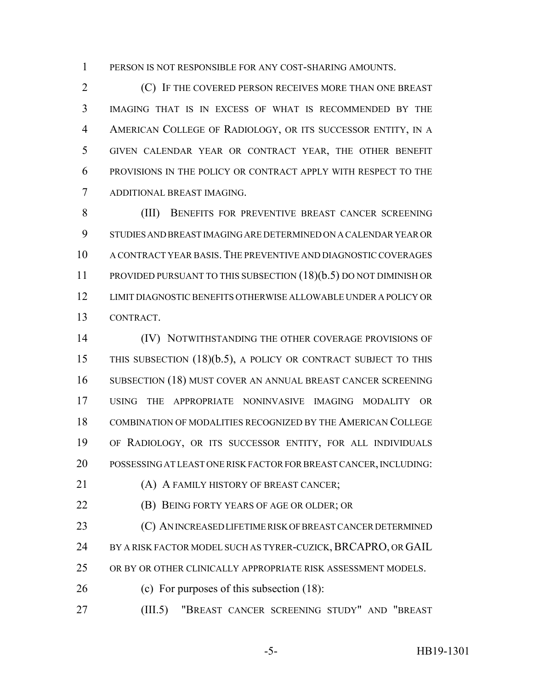PERSON IS NOT RESPONSIBLE FOR ANY COST-SHARING AMOUNTS.

 (C) IF THE COVERED PERSON RECEIVES MORE THAN ONE BREAST IMAGING THAT IS IN EXCESS OF WHAT IS RECOMMENDED BY THE AMERICAN COLLEGE OF RADIOLOGY, OR ITS SUCCESSOR ENTITY, IN A GIVEN CALENDAR YEAR OR CONTRACT YEAR, THE OTHER BENEFIT PROVISIONS IN THE POLICY OR CONTRACT APPLY WITH RESPECT TO THE ADDITIONAL BREAST IMAGING.

 (III) BENEFITS FOR PREVENTIVE BREAST CANCER SCREENING STUDIES AND BREAST IMAGING ARE DETERMINED ON A CALENDAR YEAR OR A CONTRACT YEAR BASIS.THE PREVENTIVE AND DIAGNOSTIC COVERAGES PROVIDED PURSUANT TO THIS SUBSECTION (18)(b.5) DO NOT DIMINISH OR LIMIT DIAGNOSTIC BENEFITS OTHERWISE ALLOWABLE UNDER A POLICY OR CONTRACT.

 (IV) NOTWITHSTANDING THE OTHER COVERAGE PROVISIONS OF THIS SUBSECTION (18)(b.5), A POLICY OR CONTRACT SUBJECT TO THIS SUBSECTION (18) MUST COVER AN ANNUAL BREAST CANCER SCREENING USING THE APPROPRIATE NONINVASIVE IMAGING MODALITY OR COMBINATION OF MODALITIES RECOGNIZED BY THE AMERICAN COLLEGE OF RADIOLOGY, OR ITS SUCCESSOR ENTITY, FOR ALL INDIVIDUALS POSSESSING AT LEAST ONE RISK FACTOR FOR BREAST CANCER, INCLUDING:

**(A) A FAMILY HISTORY OF BREAST CANCER;** 

(B) BEING FORTY YEARS OF AGE OR OLDER; OR

23 (C) AN INCREASED LIFETIME RISK OF BREAST CANCER DETERMINED 24 BY A RISK FACTOR MODEL SUCH AS TYRER-CUZICK, BRCAPRO, OR GAIL

OR BY OR OTHER CLINICALLY APPROPRIATE RISK ASSESSMENT MODELS.

(c) For purposes of this subsection (18):

(III.5) "BREAST CANCER SCREENING STUDY" AND "BREAST